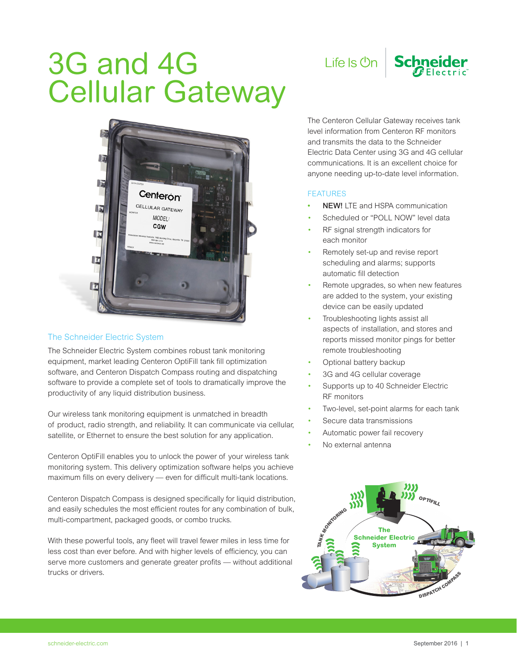## 3G and 4G Cellular Gateway



## The Schneider Electric System

The Schneider Electric System combines robust tank monitoring equipment, market leading Centeron OptiFill tank fill optimization software, and Centeron Dispatch Compass routing and dispatching software to provide a complete set of tools to dramatically improve the productivity of any liquid distribution business.

Our wireless tank monitoring equipment is unmatched in breadth of product, radio strength, and reliability. It can communicate via cellular, satellite, or Ethernet to ensure the best solution for any application.

Centeron OptiFill enables you to unlock the power of your wireless tank monitoring system. This delivery optimization software helps you achieve maximum fills on every delivery — even for difficult multi-tank locations.

Centeron Dispatch Compass is designed specifically for liquid distribution, and easily schedules the most efficient routes for any combination of bulk, multi-compartment, packaged goods, or combo trucks.

With these powerful tools, any fleet will travel fewer miles in less time for less cost than ever before. And with higher levels of efficiency, you can serve more customers and generate greater profits — without additional trucks or drivers.



The Centeron Cellular Gateway receives tank level information from Centeron RF monitors and transmits the data to the Schneider Electric Data Center using 3G and 4G cellular communications. It is an excellent choice for anyone needing up-to-date level information.

## FEATURES

- **NEW!** LTE and HSPA communication
- Scheduled or "POLL NOW" level data
- RF signal strength indicators for each monitor
- Remotely set-up and revise report scheduling and alarms; supports automatic fill detection
- Remote upgrades, so when new features are added to the system, your existing device can be easily updated
- Troubleshooting lights assist all aspects of installation, and stores and reports missed monitor pings for better remote troubleshooting
- Optional battery backup
- 3G and 4G cellular coverage
- Supports up to 40 Schneider Electric RF monitors
- Two-level, set-point alarms for each tank
- Secure data transmissions
- Automatic power fail recovery
- No external antenna